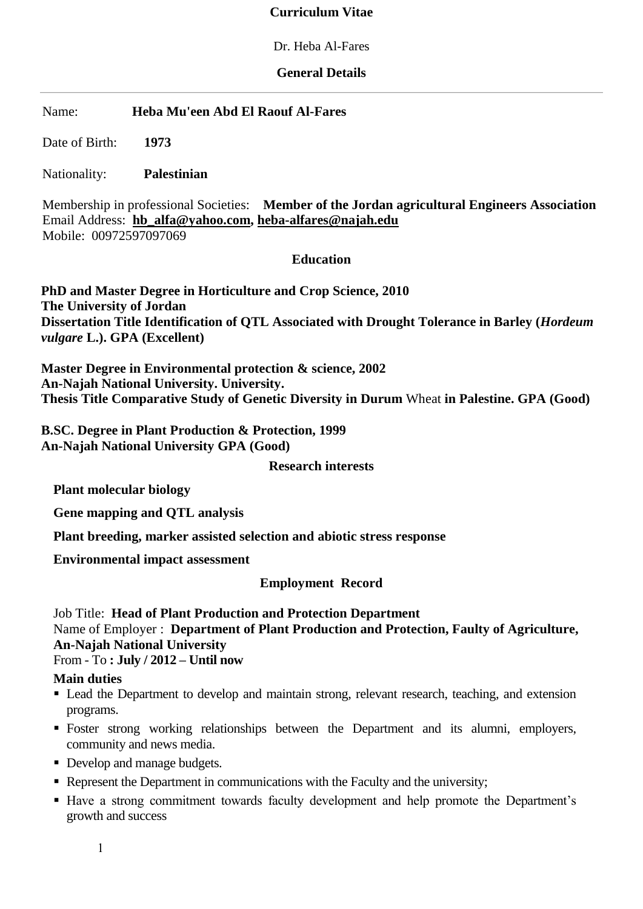#### **Curriculum Vitae**

Dr. Heba Al-Fares

#### **General Details**

Name: **Heba Mu'een Abd El Raouf Al-Fares**

Date of Birth: **1973**

Nationality: **Palestinian** 

Membership in professional Societies: **Member of the Jordan agricultural Engineers Association**  Email Address: **[hb\\_alfa@yahoo.com,](mailto:hb_alfa@yahoo.com) heba-alfares@najah.edu** Mobile: 00972597097069

#### **Education**

**PhD and Master Degree in Horticulture and Crop Science, 2010 The University of Jordan Dissertation Title Identification of QTL Associated with Drought Tolerance in Barley (***Hordeum vulgare* **L.). GPA (Excellent)** 

**Master Degree in Environmental protection & science, 2002 An-Najah National University. University. Thesis Title Comparative Study of Genetic Diversity in Durum** Wheat **in Palestine. GPA (Good)**

**B.SC. Degree in Plant Production & Protection, 1999 An-Najah National University GPA (Good)**

**Research interests**

**Plant molecular biology** 

**Gene mapping and QTL analysis**

**Plant breeding, marker assisted selection and abiotic stress response** 

**Environmental impact assessment**

**Employment Record**

Job Title: **Head of Plant Production and Protection Department** Name of Employer : **Department of Plant Production and Protection, Faulty of Agriculture, An-Najah National University** From - To **: July / 2012 – Until now** 

#### **Main duties**

- Lead the Department to develop and maintain strong, relevant research, teaching, and extension programs.
- Foster strong working relationships between the Department and its alumni, employers, community and news media.
- Develop and manage budgets.
- Represent the Department in communications with the Faculty and the university;
- Have a strong commitment towards faculty development and help promote the Department's growth and success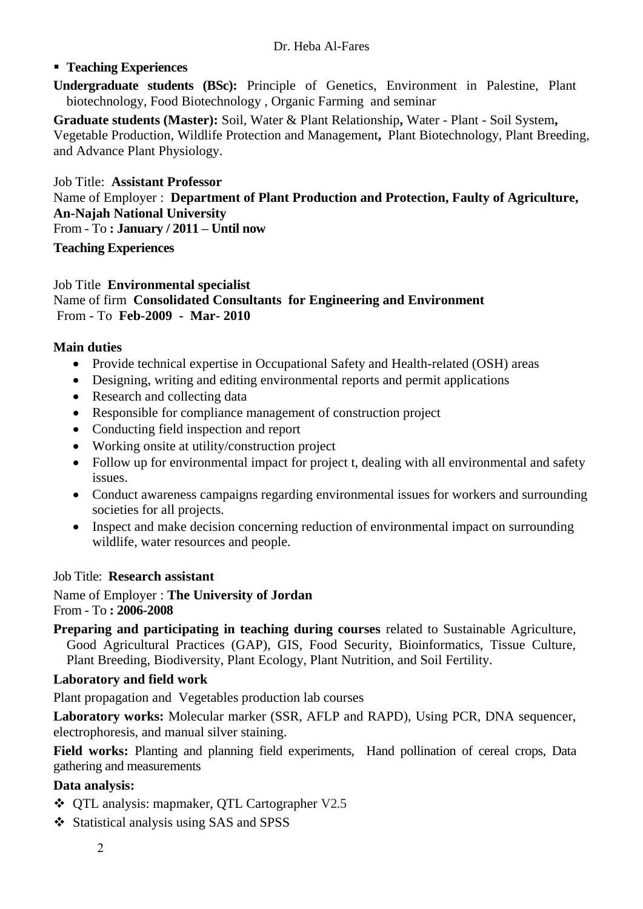## **Teaching Experiences**

**Undergraduate students (BSc):** Principle of Genetics, Environment in Palestine, Plant biotechnology, Food Biotechnology , Organic Farming and seminar

**Graduate students (Master):** Soil, Water & Plant Relationship**,** Water - Plant - Soil System**,**  Vegetable Production, Wildlife Protection and Management**,** Plant Biotechnology, Plant Breeding, and Advance Plant Physiology.

# Job Title: **Assistant Professor** Name of Employer : **Department of Plant Production and Protection, Faulty of Agriculture, An-Najah National University** From - To **: January / 2011 – Until now**

# **Teaching Experiences**

#### Job Title **Environmental specialist**  Name of firm **Consolidated Consultants for Engineering and Environment** From - To **Feb-2009 - Mar- 2010**

## **Main duties**

- Provide technical expertise in Occupational Safety and Health-related (OSH) areas
- Designing, writing and editing environmental reports and permit applications
- Research and collecting data
- Responsible for compliance management of construction project
- Conducting field inspection and report
- Working onsite at utility/construction project
- Follow up for environmental impact for project t, dealing with all environmental and safety issues.
- Conduct awareness campaigns regarding environmental issues for workers and surrounding societies for all projects.
- Inspect and make decision concerning reduction of environmental impact on surrounding wildlife, water resources and people.

## Job Title: **Research assistant**

Name of Employer : **The University of Jordan** From - To **: 2006-2008** 

**Preparing and participating in teaching during courses** related to Sustainable Agriculture, Good Agricultural Practices (GAP), GIS, Food Security, Bioinformatics, Tissue Culture, Plant Breeding, Biodiversity, Plant Ecology, Plant Nutrition, and Soil Fertility.

## **Laboratory and field work**

Plant propagation and Vegetables production lab courses

**Laboratory works:** Molecular marker (SSR, AFLP and RAPD), Using PCR, DNA sequencer, electrophoresis, and manual silver staining.

**Field works:** Planting and planning field experiments, Hand pollination of cereal crops, Data gathering and measurements

## **Data analysis:**

- QTL analysis: mapmaker, QTL Cartographer V2.5
- Statistical analysis using SAS and SPSS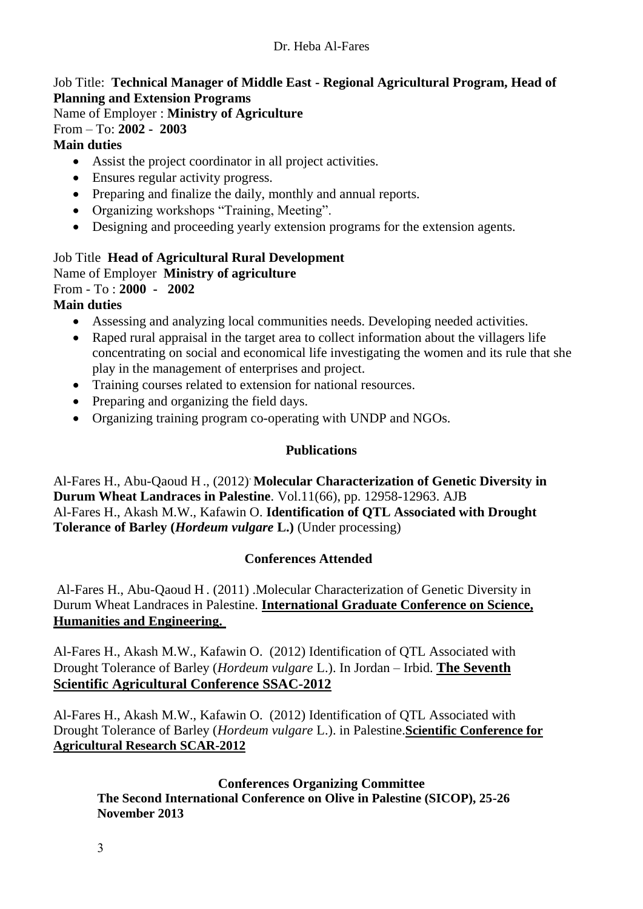## Job Title: **Technical Manager of Middle East - Regional Agricultural Program, Head of Planning and Extension Programs**

Name of Employer : **Ministry of Agriculture**

## From – To: **2002 - 2003**

## **Main duties**

- Assist the project coordinator in all project activities.
- Ensures regular activity progress.
- Preparing and finalize the daily, monthly and annual reports.
- Organizing workshops "Training, Meeting".
- Designing and proceeding yearly extension programs for the extension agents.

#### Job Title **Head of Agricultural Rural Development** Name of Employer **Ministry of agriculture**

From - To : **2000 - 2002**

## **Main duties**

- Assessing and analyzing local communities needs. Developing needed activities.
- Raped rural appraisal in the target area to collect information about the villagers life concentrating on social and economical life investigating the women and its rule that she play in the management of enterprises and project.
- Training courses related to extension for national resources.
- Preparing and organizing the field days.
- Organizing training program co-operating with UNDP and NGOs.

## **Publications**

Al-Fares H., Abu-Qaoud H ., (2012). **Molecular Characterization of Genetic Diversity in Durum Wheat Landraces in Palestine**. Vol.11(66), pp. 12958-12963. AJB Al-Fares H., Akash M.W., Kafawin O. **Identification of QTL Associated with Drought Tolerance of Barley (***Hordeum vulgare* **L.)** (Under processing)

## **Conferences Attended**

Al-Fares H., Abu-Qaoud H . (2011) .Molecular Characterization of Genetic Diversity in Durum Wheat Landraces in Palestine. **International Graduate Conference on Science, Humanities and Engineering.**

Al-Fares H., Akash M.W., Kafawin O. (2012) Identification of QTL Associated with Drought Tolerance of Barley (*Hordeum vulgare* L.). In Jordan – Irbid. **The Seventh Scientific Agricultural Conference SSAC-2012**

Al-Fares H., Akash M.W., Kafawin O. (2012) Identification of QTL Associated with Drought Tolerance of Barley (*Hordeum vulgare* L.). in Palestine.**[Scientific Conference for](http://scholar.najah.edu/conference/scientific-conference-agricultural-research-scar2012)  [Agricultural Research SCAR-2012](http://scholar.najah.edu/conference/scientific-conference-agricultural-research-scar2012)**

## **Conferences Organizing Committee**

**The Second International Conference on Olive in Palestine (SICOP), 25-26 November 2013**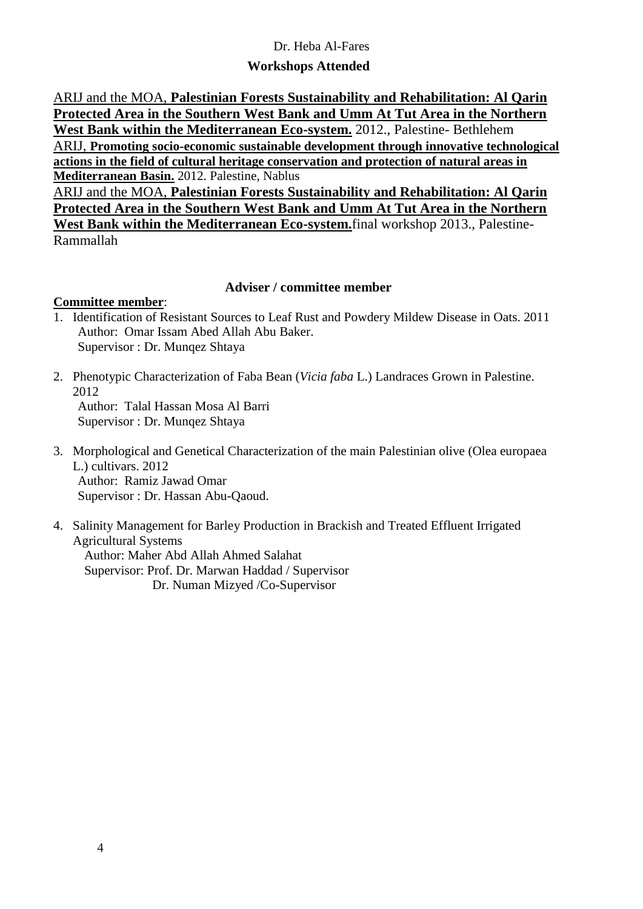#### Dr. Heba Al-Fares

#### **Workshops Attended**

ARIJ and the MOA, **Palestinian Forests Sustainability and Rehabilitation: Al Qarin Protected Area in the Southern West Bank and Umm At Tut Area in the Northern West Bank within the Mediterranean Eco-system.** 2012., Palestine- Bethlehem ARIJ, **[Promoting socio-economic sustainable development through innovative technological](http://www.arij.org/index.php?option=com_content&view=article&id=544&Itemid=61)  [actions](http://www.arij.org/index.php?option=com_content&view=article&id=544&Itemid=61) in the field of cultural heritage conservation and protection of natural areas in Mediterranean Basin.** 2012. Palestine, Nablus

ARIJ and the MOA, **Palestinian Forests Sustainability and Rehabilitation: Al Qarin Protected Area in the Southern West Bank and Umm At Tut Area in the Northern West Bank within the Mediterranean Eco-system.**final workshop 2013., Palestine-Rammallah

#### **Adviser / committee member**

#### **Committee member**:

- 1. Identification of Resistant Sources to Leaf Rust and Powdery Mildew Disease in Oats. 2011 Author: Omar Issam Abed Allah Abu Baker. Supervisor : Dr. Munqez Shtaya
- 2. [Phenotypic Characterization of Faba Bean \(](http://scholar.najah.edu/content/phenotypic-characterization-faba-bean-vicia-faba-l-landraces-grown-palestine)*Vicia faba* L.) Landraces Grown in Palestine. 2012 Author: Talal Hassan Mosa Al Barri Supervisor : Dr. Munqez Shtaya
- 3. [Morphological and Genetical Characterization of the main Palestinian olive \(Olea europaea](http://scholar.najah.edu/content/morphological-and-genetical-characterisation-main-palestinian-olive-olea-europaea-l)  [L.\) cultivars.](http://scholar.najah.edu/content/morphological-and-genetical-characterisation-main-palestinian-olive-olea-europaea-l) 2012 Author: Ramiz Jawad Omar Supervisor : Dr. Hassan Abu-Qaoud.
- 4. [Salinity Management for Barley Production](http://scholar.najah.edu/content/salinity-management-barley-productionin-brackish-and-treated-effluent-irrigated-agricultural) in Brackish and Treated Effluent Irrigated [Agricultural Systems](http://scholar.najah.edu/content/salinity-management-barley-productionin-brackish-and-treated-effluent-irrigated-agricultural) Author: Maher Abd Allah Ahmed Salahat Supervisor: Prof. Dr. Marwan Haddad / Supervisor Dr. Numan Mizyed /Co-Supervisor